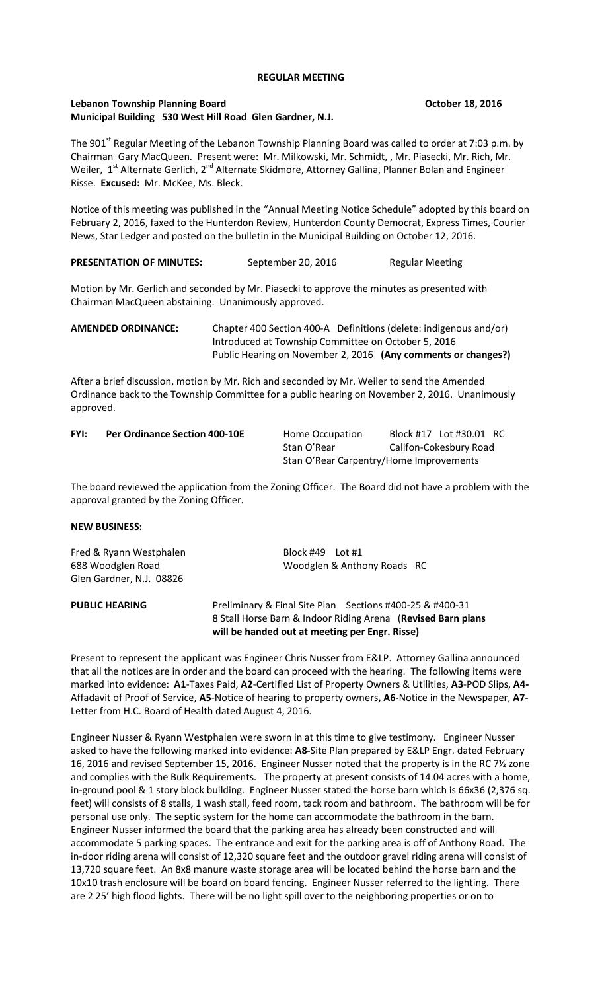# **REGULAR MEETING**

### **Lebanon Township Planning Board Construction Construction Construction Construction Construction Construction Construction Construction Construction Construction Construction Construction Construction Construction Const Municipal Building 530 West Hill Road Glen Gardner, N.J.**

The 901<sup>st</sup> Regular Meeting of the Lebanon Township Planning Board was called to order at 7:03 p.m. by Chairman Gary MacQueen. Present were: Mr. Milkowski, Mr. Schmidt, , Mr. Piasecki, Mr. Rich, Mr. Weiler, 1<sup>st</sup> Alternate Gerlich, 2<sup>nd</sup> Alternate Skidmore, Attorney Gallina, Planner Bolan and Engineer Risse. **Excused:** Mr. McKee, Ms. Bleck.

Notice of this meeting was published in the "Annual Meeting Notice Schedule" adopted by this board on February 2, 2016, faxed to the Hunterdon Review, Hunterdon County Democrat, Express Times, Courier News, Star Ledger and posted on the bulletin in the Municipal Building on October 12, 2016.

**PRESENTATION OF MINUTES:** September 20, 2016 Regular Meeting

Motion by Mr. Gerlich and seconded by Mr. Piasecki to approve the minutes as presented with Chairman MacQueen abstaining. Unanimously approved.

**AMENDED ORDINANCE:** Chapter 400 Section 400-A Definitions (delete: indigenous and/or) Introduced at Township Committee on October 5, 2016 Public Hearing on November 2, 2016 **(Any comments or changes?)**

After a brief discussion, motion by Mr. Rich and seconded by Mr. Weiler to send the Amended Ordinance back to the Township Committee for a public hearing on November 2, 2016. Unanimously approved.

**FYI: Per Ordinance Section 400-10E** Home Occupation Block #17 Lot #30.01 RC Stan O'Rear Califon-Cokesbury Road Stan O'Rear Carpentry/Home Improvements

The board reviewed the application from the Zoning Officer. The Board did not have a problem with the approval granted by the Zoning Officer.

## **NEW BUSINESS:**

| Fred & Ryann Westphalen  | Block $#49$ Lot $#1$        |
|--------------------------|-----------------------------|
| 688 Woodglen Road        | Woodglen & Anthony Roads RC |
| Glen Gardner, N.J. 08826 |                             |
|                          |                             |

**PUBLIC HEARING** Preliminary & Final Site Plan Sections #400-25 & #400-31 8 Stall Horse Barn & Indoor Riding Arena (**Revised Barn plans will be handed out at meeting per Engr. Risse)**

Present to represent the applicant was Engineer Chris Nusser from E&LP. Attorney Gallina announced that all the notices are in order and the board can proceed with the hearing. The following items were marked into evidence: **A1**-Taxes Paid, **A2**-Certified List of Property Owners & Utilities, **A3**-POD Slips, **A4-** Affadavit of Proof of Service, **A5**-Notice of hearing to property owners**, A6-**Notice in the Newspaper, **A7-** Letter from H.C. Board of Health dated August 4, 2016.

Engineer Nusser & Ryann Westphalen were sworn in at this time to give testimony. Engineer Nusser asked to have the following marked into evidence: **A8-**Site Plan prepared by E&LP Engr. dated February 16, 2016 and revised September 15, 2016. Engineer Nusser noted that the property is in the RC 7½ zone and complies with the Bulk Requirements. The property at present consists of 14.04 acres with a home, in-ground pool & 1 story block building. Engineer Nusser stated the horse barn which is 66x36 (2,376 sq. feet) will consists of 8 stalls, 1 wash stall, feed room, tack room and bathroom. The bathroom will be for personal use only. The septic system for the home can accommodate the bathroom in the barn. Engineer Nusser informed the board that the parking area has already been constructed and will accommodate 5 parking spaces. The entrance and exit for the parking area is off of Anthony Road. The in-door riding arena will consist of 12,320 square feet and the outdoor gravel riding arena will consist of 13,720 square feet. An 8x8 manure waste storage area will be located behind the horse barn and the 10x10 trash enclosure will be board on board fencing. Engineer Nusser referred to the lighting. There are 2 25' high flood lights. There will be no light spill over to the neighboring properties or on to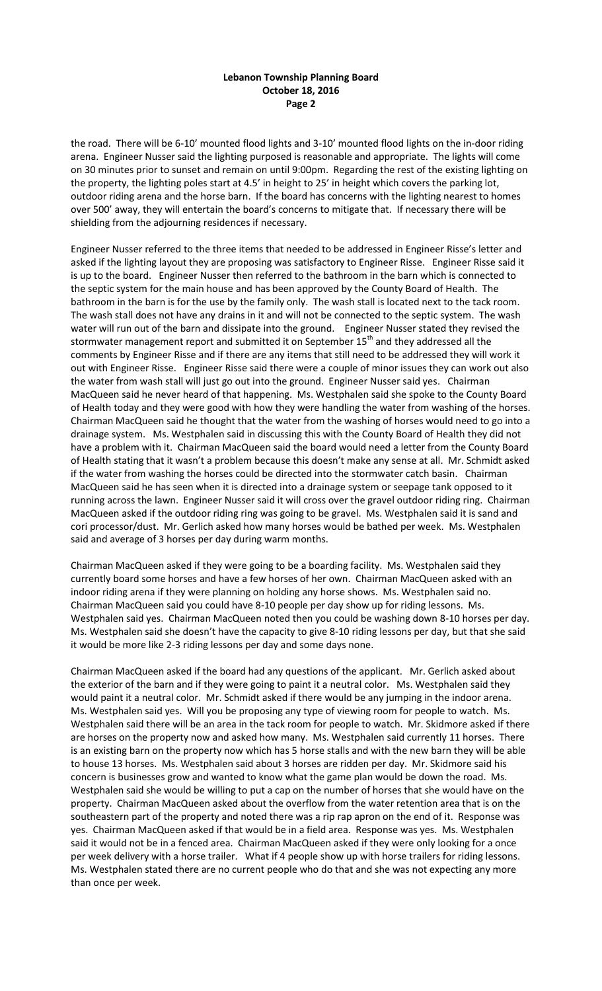the road. There will be 6-10' mounted flood lights and 3-10' mounted flood lights on the in-door riding arena. Engineer Nusser said the lighting purposed is reasonable and appropriate. The lights will come on 30 minutes prior to sunset and remain on until 9:00pm. Regarding the rest of the existing lighting on the property, the lighting poles start at 4.5' in height to 25' in height which covers the parking lot, outdoor riding arena and the horse barn. If the board has concerns with the lighting nearest to homes over 500' away, they will entertain the board's concerns to mitigate that. If necessary there will be shielding from the adjourning residences if necessary.

Engineer Nusser referred to the three items that needed to be addressed in Engineer Risse's letter and asked if the lighting layout they are proposing was satisfactory to Engineer Risse. Engineer Risse said it is up to the board. Engineer Nusser then referred to the bathroom in the barn which is connected to the septic system for the main house and has been approved by the County Board of Health. The bathroom in the barn is for the use by the family only. The wash stall is located next to the tack room. The wash stall does not have any drains in it and will not be connected to the septic system. The wash water will run out of the barn and dissipate into the ground. Engineer Nusser stated they revised the stormwater management report and submitted it on September 15<sup>th</sup> and they addressed all the comments by Engineer Risse and if there are any items that still need to be addressed they will work it out with Engineer Risse. Engineer Risse said there were a couple of minor issues they can work out also the water from wash stall will just go out into the ground. Engineer Nusser said yes. Chairman MacQueen said he never heard of that happening. Ms. Westphalen said she spoke to the County Board of Health today and they were good with how they were handling the water from washing of the horses. Chairman MacQueen said he thought that the water from the washing of horses would need to go into a drainage system. Ms. Westphalen said in discussing this with the County Board of Health they did not have a problem with it. Chairman MacQueen said the board would need a letter from the County Board of Health stating that it wasn't a problem because this doesn't make any sense at all. Mr. Schmidt asked if the water from washing the horses could be directed into the stormwater catch basin. Chairman MacQueen said he has seen when it is directed into a drainage system or seepage tank opposed to it running across the lawn. Engineer Nusser said it will cross over the gravel outdoor riding ring. Chairman MacQueen asked if the outdoor riding ring was going to be gravel. Ms. Westphalen said it is sand and cori processor/dust. Mr. Gerlich asked how many horses would be bathed per week. Ms. Westphalen said and average of 3 horses per day during warm months.

Chairman MacQueen asked if they were going to be a boarding facility. Ms. Westphalen said they currently board some horses and have a few horses of her own. Chairman MacQueen asked with an indoor riding arena if they were planning on holding any horse shows. Ms. Westphalen said no. Chairman MacQueen said you could have 8-10 people per day show up for riding lessons. Ms. Westphalen said yes. Chairman MacQueen noted then you could be washing down 8-10 horses per day. Ms. Westphalen said she doesn't have the capacity to give 8-10 riding lessons per day, but that she said it would be more like 2-3 riding lessons per day and some days none.

Chairman MacQueen asked if the board had any questions of the applicant. Mr. Gerlich asked about the exterior of the barn and if they were going to paint it a neutral color. Ms. Westphalen said they would paint it a neutral color. Mr. Schmidt asked if there would be any jumping in the indoor arena. Ms. Westphalen said yes. Will you be proposing any type of viewing room for people to watch. Ms. Westphalen said there will be an area in the tack room for people to watch. Mr. Skidmore asked if there are horses on the property now and asked how many. Ms. Westphalen said currently 11 horses. There is an existing barn on the property now which has 5 horse stalls and with the new barn they will be able to house 13 horses. Ms. Westphalen said about 3 horses are ridden per day. Mr. Skidmore said his concern is businesses grow and wanted to know what the game plan would be down the road. Ms. Westphalen said she would be willing to put a cap on the number of horses that she would have on the property. Chairman MacQueen asked about the overflow from the water retention area that is on the southeastern part of the property and noted there was a rip rap apron on the end of it. Response was yes. Chairman MacQueen asked if that would be in a field area. Response was yes. Ms. Westphalen said it would not be in a fenced area. Chairman MacQueen asked if they were only looking for a once per week delivery with a horse trailer. What if 4 people show up with horse trailers for riding lessons. Ms. Westphalen stated there are no current people who do that and she was not expecting any more than once per week.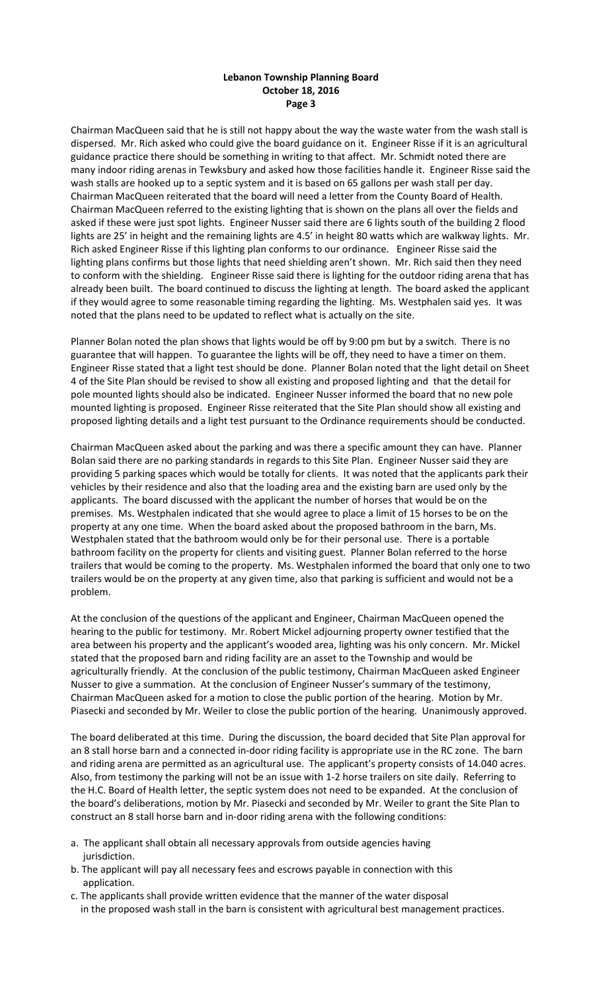Chairman MacQueen said that he is still not happy about the way the waste water from the wash stall is dispersed. Mr. Rich asked who could give the board guidance on it. Engineer Risse if it is an agricultural guidance practice there should be something in writing to that affect. Mr. Schmidt noted there are many indoor riding arenas in Tewksbury and asked how those facilities handle it. Engineer Risse said the wash stalls are hooked up to a septic system and it is based on 65 gallons per wash stall per day. Chairman MacQueen reiterated that the board will need a letter from the County Board of Health. Chairman MacQueen referred to the existing lighting that is shown on the plans all over the fields and asked if these were just spot lights. Engineer Nusser said there are 6 lights south of the building 2 flood lights are 25' in height and the remaining lights are 4.5' in height 80 watts which are walkway lights. Mr. Rich asked Engineer Risse if this lighting plan conforms to our ordinance. Engineer Risse said the lighting plans confirms but those lights that need shielding aren't shown. Mr. Rich said then they need to conform with the shielding. Engineer Risse said there is lighting for the outdoor riding arena that has already been built. The board continued to discuss the lighting at length. The board asked the applicant if they would agree to some reasonable timing regarding the lighting. Ms. Westphalen said yes. It was noted that the plans need to be updated to reflect what is actually on the site.

Planner Bolan noted the plan shows that lights would be off by 9:00 pm but by a switch. There is no guarantee that will happen. To guarantee the lights will be off, they need to have a timer on them. Engineer Risse stated that a light test should be done. Planner Bolan noted that the light detail on Sheet 4 of the Site Plan should be revised to show all existing and proposed lighting and that the detail for pole mounted lights should also be indicated. Engineer Nusser informed the board that no new pole mounted lighting is proposed. Engineer Risse reiterated that the Site Plan should show all existing and proposed lighting details and a light test pursuant to the Ordinance requirements should be conducted.

Chairman MacQueen asked about the parking and was there a specific amount they can have. Planner Bolan said there are no parking standards in regards to this Site Plan. Engineer Nusser said they are providing 5 parking spaces which would be totally for clients. It was noted that the applicants park their vehicles by their residence and also that the loading area and the existing barn are used only by the applicants. The board discussed with the applicant the number of horses that would be on the premises. Ms. Westphalen indicated that she would agree to place a limit of 15 horses to be on the property at any one time. When the board asked about the proposed bathroom in the barn, Ms. Westphalen stated that the bathroom would only be for their personal use. There is a portable bathroom facility on the property for clients and visiting guest. Planner Bolan referred to the horse trailers that would be coming to the property. Ms. Westphalen informed the board that only one to two trailers would be on the property at any given time, also that parking is sufficient and would not be a problem.

At the conclusion of the questions of the applicant and Engineer, Chairman MacQueen opened the hearing to the public for testimony. Mr. Robert Mickel adjourning property owner testified that the area between his property and the applicant's wooded area, lighting was his only concern. Mr. Mickel stated that the proposed barn and riding facility are an asset to the Township and would be agriculturally friendly. At the conclusion of the public testimony, Chairman MacQueen asked Engineer Nusser to give a summation. At the conclusion of Engineer Nusser's summary of the testimony, Chairman MacQueen asked for a motion to close the public portion of the hearing. Motion by Mr. Piasecki and seconded by Mr. Weiler to close the public portion of the hearing. Unanimously approved.

The board deliberated at this time. During the discussion, the board decided that Site Plan approval for an 8 stall horse barn and a connected in-door riding facility is appropriate use in the RC zone. The barn and riding arena are permitted as an agricultural use. The applicant's property consists of 14.040 acres. Also, from testimony the parking will not be an issue with 1-2 horse trailers on site daily. Referring to the H.C. Board of Health letter, the septic system does not need to be expanded. At the conclusion of the board's deliberations, motion by Mr. Piasecki and seconded by Mr. Weiler to grant the Site Plan to construct an 8 stall horse barn and in-door riding arena with the following conditions:

- a. The applicant shall obtain all necessary approvals from outside agencies having jurisdiction.
- b. The applicant will pay all necessary fees and escrows payable in connection with this application.
- c. The applicants shall provide written evidence that the manner of the water disposal in the proposed wash stall in the barn is consistent with agricultural best management practices.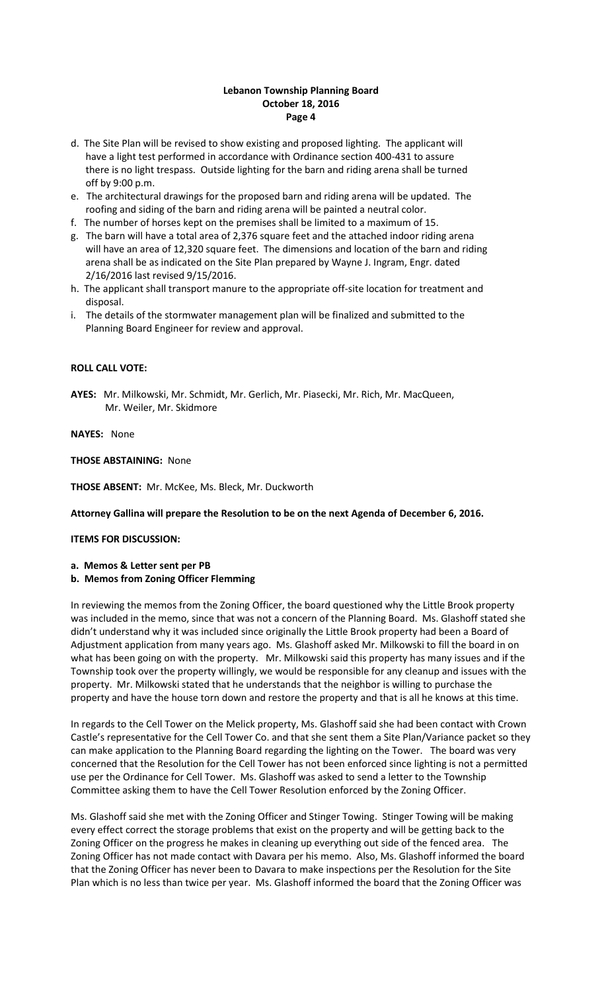- d. The Site Plan will be revised to show existing and proposed lighting. The applicant will have a light test performed in accordance with Ordinance section 400-431 to assure there is no light trespass. Outside lighting for the barn and riding arena shall be turned off by 9:00 p.m.
- e. The architectural drawings for the proposed barn and riding arena will be updated. The roofing and siding of the barn and riding arena will be painted a neutral color.
- f. The number of horses kept on the premises shall be limited to a maximum of 15.
- g. The barn will have a total area of 2,376 square feet and the attached indoor riding arena will have an area of 12,320 square feet. The dimensions and location of the barn and riding arena shall be as indicated on the Site Plan prepared by Wayne J. Ingram, Engr. dated 2/16/2016 last revised 9/15/2016.
- h. The applicant shall transport manure to the appropriate off-site location for treatment and disposal.
- i. The details of the stormwater management plan will be finalized and submitted to the Planning Board Engineer for review and approval.

### **ROLL CALL VOTE:**

**AYES:** Mr. Milkowski, Mr. Schmidt, Mr. Gerlich, Mr. Piasecki, Mr. Rich, Mr. MacQueen, Mr. Weiler, Mr. Skidmore

### **NAYES:** None

**THOSE ABSTAINING:** None

**THOSE ABSENT:** Mr. McKee, Ms. Bleck, Mr. Duckworth

# **Attorney Gallina will prepare the Resolution to be on the next Agenda of December 6, 2016.**

# **ITEMS FOR DISCUSSION:**

**a. Memos & Letter sent per PB** 

# **b. Memos from Zoning Officer Flemming**

In reviewing the memos from the Zoning Officer, the board questioned why the Little Brook property was included in the memo, since that was not a concern of the Planning Board. Ms. Glashoff stated she didn't understand why it was included since originally the Little Brook property had been a Board of Adjustment application from many years ago. Ms. Glashoff asked Mr. Milkowski to fill the board in on what has been going on with the property. Mr. Milkowski said this property has many issues and if the Township took over the property willingly, we would be responsible for any cleanup and issues with the property. Mr. Milkowski stated that he understands that the neighbor is willing to purchase the property and have the house torn down and restore the property and that is all he knows at this time.

In regards to the Cell Tower on the Melick property, Ms. Glashoff said she had been contact with Crown Castle's representative for the Cell Tower Co. and that she sent them a Site Plan/Variance packet so they can make application to the Planning Board regarding the lighting on the Tower. The board was very concerned that the Resolution for the Cell Tower has not been enforced since lighting is not a permitted use per the Ordinance for Cell Tower. Ms. Glashoff was asked to send a letter to the Township Committee asking them to have the Cell Tower Resolution enforced by the Zoning Officer.

Ms. Glashoff said she met with the Zoning Officer and Stinger Towing. Stinger Towing will be making every effect correct the storage problems that exist on the property and will be getting back to the Zoning Officer on the progress he makes in cleaning up everything out side of the fenced area. The Zoning Officer has not made contact with Davara per his memo. Also, Ms. Glashoff informed the board that the Zoning Officer has never been to Davara to make inspections per the Resolution for the Site Plan which is no less than twice per year. Ms. Glashoff informed the board that the Zoning Officer was